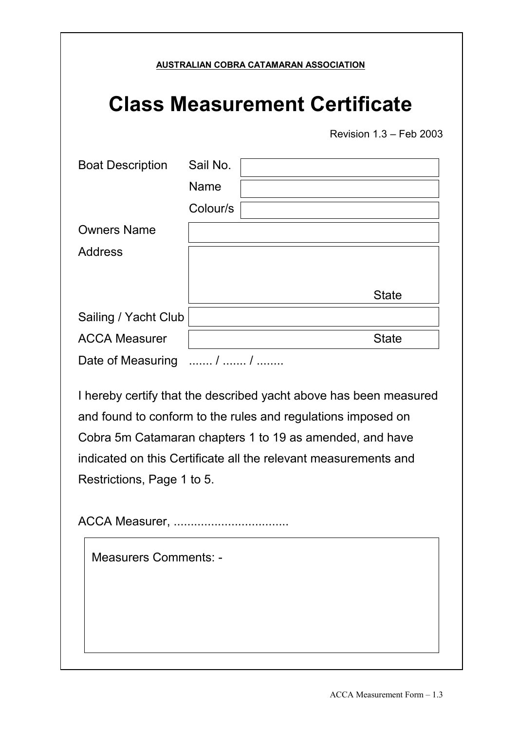|                                      |                              | Revision 1.3 - Feb 2003                                                                                                                                                                                                                                          |
|--------------------------------------|------------------------------|------------------------------------------------------------------------------------------------------------------------------------------------------------------------------------------------------------------------------------------------------------------|
| <b>Boat Description</b>              | Sail No.<br>Name<br>Colour/s |                                                                                                                                                                                                                                                                  |
| <b>Owners Name</b><br><b>Address</b> |                              |                                                                                                                                                                                                                                                                  |
|                                      |                              | <b>State</b>                                                                                                                                                                                                                                                     |
| Sailing / Yacht Club                 |                              |                                                                                                                                                                                                                                                                  |
| <b>ACCA Measurer</b>                 |                              | <b>State</b>                                                                                                                                                                                                                                                     |
| Date of Measuring  /  /              |                              |                                                                                                                                                                                                                                                                  |
|                                      |                              | I hereby certify that the described yacht above has been measured<br>and found to conform to the rules and regulations imposed on<br>Cobra 5m Catamaran chapters 1 to 19 as amended, and have<br>indicated on this Certificate all the relevant measurements and |
| Restrictions, Page 1 to 5.           |                              |                                                                                                                                                                                                                                                                  |
|                                      |                              |                                                                                                                                                                                                                                                                  |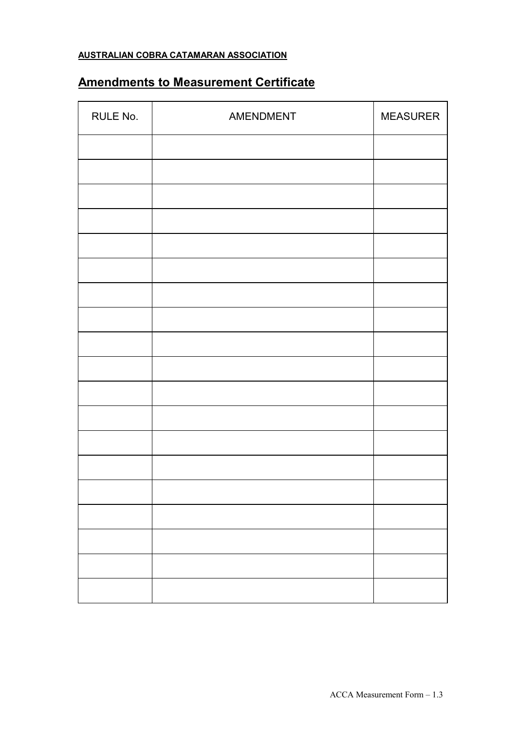## **AUSTRALIAN COBRA CATAMARAN ASSOCIATION**

## **Amendments to Measurement Certificate**

| RULE No. | AMENDMENT | <b>MEASURER</b> |
|----------|-----------|-----------------|
|          |           |                 |
|          |           |                 |
|          |           |                 |
|          |           |                 |
|          |           |                 |
|          |           |                 |
|          |           |                 |
|          |           |                 |
|          |           |                 |
|          |           |                 |
|          |           |                 |
|          |           |                 |
|          |           |                 |
|          |           |                 |
|          |           |                 |
|          |           |                 |
|          |           |                 |
|          |           |                 |
|          |           |                 |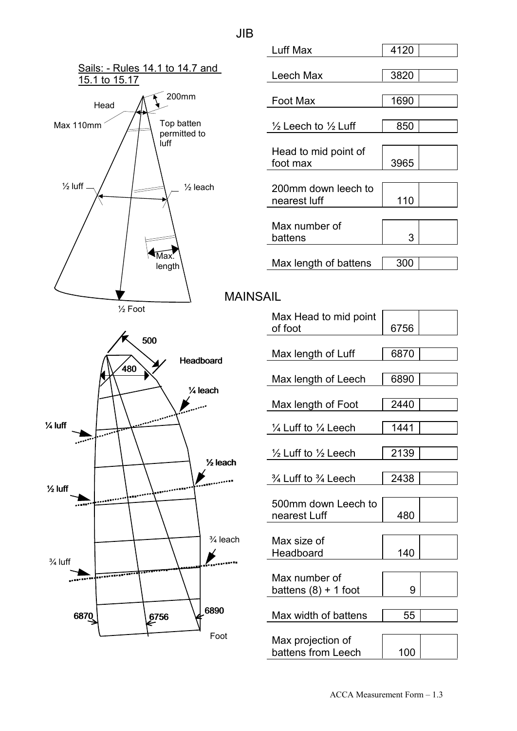

| Luff Max                                  | 4120 |  |
|-------------------------------------------|------|--|
|                                           |      |  |
| Leech Max                                 | 3820 |  |
|                                           |      |  |
| Foot Max                                  | 1690 |  |
|                                           |      |  |
| $\frac{1}{2}$ Leech to $\frac{1}{2}$ Luff | 850  |  |
|                                           |      |  |
| Head to mid point of                      |      |  |
| foot max                                  | 3965 |  |
|                                           |      |  |
| 200mm down leech to                       |      |  |
| nearest luff                              | 110  |  |
|                                           |      |  |
| Max number of                             |      |  |
| battens                                   | 3    |  |
|                                           |      |  |
| Max length of battens                     | 300  |  |
|                                           |      |  |
|                                           |      |  |

MAINSAIL

| Max Head to mid point<br>of foot          | 6756 |  |
|-------------------------------------------|------|--|
|                                           |      |  |
| Max length of Luff                        | 6870 |  |
|                                           |      |  |
| Max length of Leech                       | 6890 |  |
|                                           |      |  |
| Max length of Foot                        | 2440 |  |
|                                           |      |  |
| $\frac{1}{4}$ Luff to $\frac{1}{4}$ Leech | 1441 |  |
|                                           |      |  |
| $\frac{1}{2}$ Luff to $\frac{1}{2}$ Leech | 2139 |  |
|                                           |      |  |
| $\frac{3}{4}$ Luff to $\frac{3}{4}$ Leech | 2438 |  |
|                                           |      |  |
| 500mm down Leech to                       |      |  |
| nearest Luff                              | 480  |  |
|                                           |      |  |
|                                           |      |  |
| Max size of                               |      |  |
| Headboard                                 | 140  |  |
|                                           |      |  |
| Max number of                             |      |  |
| battens $(8) + 1$ foot                    | 9    |  |
|                                           |      |  |
|                                           |      |  |
| Max width of battens                      | 55   |  |
|                                           |      |  |
| Max projection of                         |      |  |
| battens from Leech                        | 100  |  |

JIB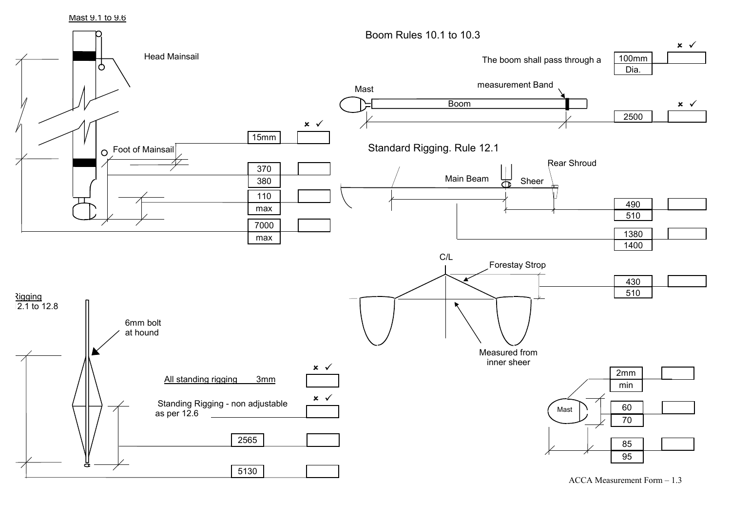Mast 9.1 to 9.6



ACCA Measurement Form – 1.3